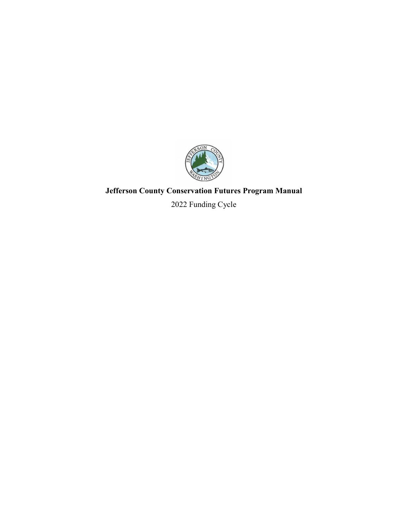

# **Jefferson County Conservation Futures Program Manual**

2022 Funding Cycle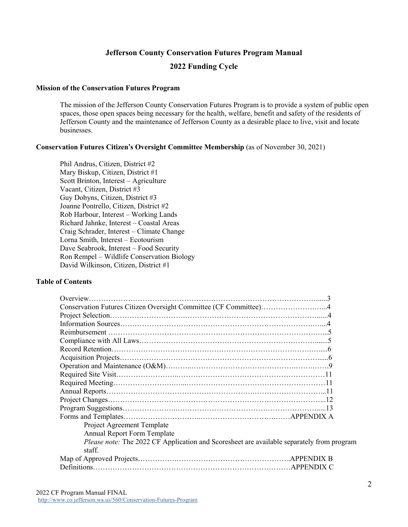# **Jefferson County Conservation Futures Program Manual 2022 Funding Cycle**

#### **Mission of the Conservation Futures Program**

The mission of the Jefferson County Conservation Futures Program is to provide a system of public open spaces, those open spaces being necessary for the health, welfare, benefit and safety of the residents of Jefferson County and the maintenance of Jefferson County as a desirable place to live, visit and locate businesses.

#### **Conservation Futures Citizen's Oversight Committee Membership** (as of November 30, 2021)

Phil Andrus, Citizen, District #2 Mary Biskup, Citizen, District #1 Scott Brinton, Interest – Agriculture Vacant, Citizen, District #3 Guy Dobyns, Citizen, District #3 Joanne Pontrello, Citizen, District #2 Rob Harbour, Interest – Working Lands Richard Jahnke, Interest – Coastal Areas Craig Schrader, Interest – Climate Change Lorna Smith, Interest – Ecotourism Dave Seabrook, Interest – Food Security Ron Rempel – Wildlife Conservation Biology David Wilkinson, Citizen, District #1

#### **Table of Contents**

| Conservation Futures Citizen Oversight Committee (CF Committee)4                                    |
|-----------------------------------------------------------------------------------------------------|
|                                                                                                     |
|                                                                                                     |
|                                                                                                     |
|                                                                                                     |
|                                                                                                     |
|                                                                                                     |
|                                                                                                     |
|                                                                                                     |
|                                                                                                     |
|                                                                                                     |
|                                                                                                     |
|                                                                                                     |
|                                                                                                     |
| Project Agreement Template                                                                          |
| <b>Annual Report Form Template</b>                                                                  |
| Please note: The 2022 CF Application and Scoresheet are available separately from program<br>staff. |
|                                                                                                     |
|                                                                                                     |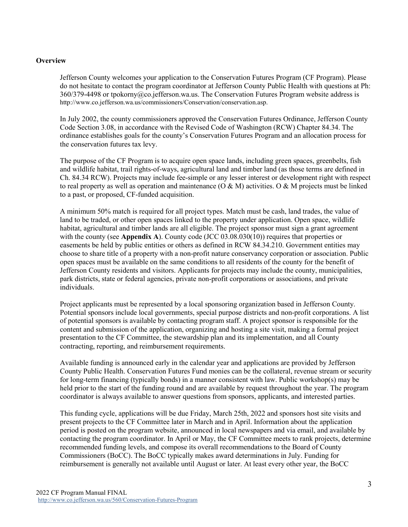#### **Overview**

Jefferson County welcomes your application to the Conservation Futures Program (CF Program). Please do not hesitate to contact the program coordinator at Jefferson County Public Health with questions at Ph: 360/379-4498 or [tpokorny@co.jefferson.wa.us.](mailto:tpokorny@co.jefferson.wa.us) The Conservation Futures Program website address is [http://www.co.jefferson.wa.us/commissioners/Conservation/conservation.asp.](http://www.co.jefferson.wa.us/commissioners/Conservation/conservation.asp)

In July 2002, the county commissioners approved the Conservation Futures Ordinance, Jefferson County Code Section 3.08, in accordance with the Revised Code of Washington (RCW) Chapter 84.34. The ordinance establishes goals for the county's Conservation Futures Program and an allocation process for the conservation futures tax levy.

The purpose of the CF Program is to acquire open space lands, including green spaces, greenbelts, fish and wildlife habitat, trail rights-of-ways, agricultural land and timber land (as those terms are defined in Ch. 84.34 RCW). Projects may include fee-simple or any lesser interest or development right with respect to real property as well as operation and maintenance ( $O \& M$ ) activities. O  $\& M$  projects must be linked to a past, or proposed, CF-funded acquisition.

A minimum 50% match is required for all project types. Match must be cash, land trades, the value of land to be traded, or other open spaces linked to the property under application. Open space, wildlife habitat, agricultural and timber lands are all eligible. The project sponsor must sign a grant agreement with the county (see **Appendix A**). County code (JCC 03.08.030(10)) requires that properties or easements be held by public entities or others as defined in RCW 84.34.210. Government entities may choose to share title of a property with a non-profit nature conservancy corporation or association. Public open spaces must be available on the same conditions to all residents of the county for the benefit of Jefferson County residents and visitors. Applicants for projects may include the county, municipalities, park districts, state or federal agencies, private non-profit corporations or associations, and private individuals.

Project applicants must be represented by a local sponsoring organization based in Jefferson County. Potential sponsors include local governments, special purpose districts and non-profit corporations. A list of potential sponsors is available by contacting program staff. A project sponsor is responsible for the content and submission of the application, organizing and hosting a site visit, making a formal project presentation to the CF Committee, the stewardship plan and its implementation, and all County contracting, reporting, and reimbursement requirements.

Available funding is announced early in the calendar year and applications are provided by Jefferson County Public Health. Conservation Futures Fund monies can be the collateral, revenue stream or security for long-term financing (typically bonds) in a manner consistent with law. Public workshop(s) may be held prior to the start of the funding round and are available by request throughout the year. The program coordinator is always available to answer questions from sponsors, applicants, and interested parties.

This funding cycle, applications will be due Friday, March 25th, 2022 and sponsors host site visits and present projects to the CF Committee later in March and in April. Information about the application period is posted on the program website, announced in local newspapers and via email, and available by contacting the program coordinator. In April or May, the CF Committee meets to rank projects, determine recommended funding levels, and compose its overall recommendations to the Board of County Commissioners (BoCC). The BoCC typically makes award determinations in July. Funding for reimbursement is generally not available until August or later. At least every other year, the BoCC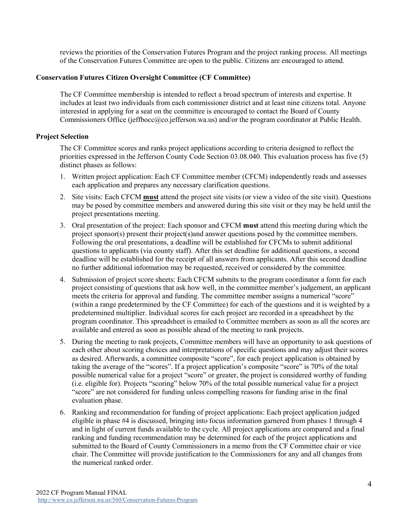reviews the priorities of the Conservation Futures Program and the project ranking process. All meetings of the Conservation Futures Committee are open to the public. Citizens are encouraged to attend.

#### **Conservation Futures Citizen Oversight Committee (CF Committee)**

The CF Committee membership is intended to reflect a broad spectrum of interests and expertise. It includes at least two individuals from each commissioner district and at least nine citizens total. Anyone interested in applying for a seat on the committee is encouraged to contact the Board of County Commissioners Office (jeffbocc@co.jefferson.wa.us) and/or the program coordinator at Public Health.

#### **Project Selection**

The CF Committee scores and ranks project applications according to criteria designed to reflect the priorities expressed in the Jefferson County Code Section 03.08.040. This evaluation process has five (5) distinct phases as follows:

- 1. Written project application: Each CF Committee member (CFCM) independently reads and assesses each application and prepares any necessary clarification questions.
- 2. Site visits: Each CFCM **must** attend the project site visits (or view a video of the site visit). Questions may be posed by committee members and answered during this site visit or they may be held until the project presentations meeting.
- 3. Oral presentation of the project: Each sponsor and CFCM **must** attend this meeting during which the project sponsor(s) present their project(s)and answer questions posed by the committee members. Following the oral presentations, a deadline will be established for CFCMs to submit additional questions to applicants (via county staff). After this set deadline for additional questions, a second deadline will be established for the receipt of all answers from applicants. After this second deadline no further additional information may be requested, received or considered by the committee.
- 4. Submission of project score sheets: Each CFCM submits to the program coordinator a form for each project consisting of questions that ask how well, in the committee member's judgement, an applicant meets the criteria for approval and funding. The committee member assigns a numerical "score" (within a range predetermined by the CF Committee) for each of the questions and it is weighted by a predetermined multiplier. Individual scores for each project are recorded in a spreadsheet by the program coordinator. This spreadsheet is emailed to Committee members as soon as all the scores are available and entered as soon as possible ahead of the meeting to rank projects.
- 5. During the meeting to rank projects, Committee members will have an opportunity to ask questions of each other about scoring choices and interpretations of specific questions and may adjust their scores as desired. Afterwards, a committee composite "score", for each project application is obtained by taking the average of the "scores". If a project application's composite "score" is 70% of the total possible numerical value for a project "score" or greater, the project is considered worthy of funding (i.e. eligible for). Projects "scoring" below 70% of the total possible numerical value for a project "score" are not considered for funding unless compelling reasons for funding arise in the final evaluation phase.
- 6. Ranking and recommendation for funding of project applications: Each project application judged eligible in phase #4 is discussed, bringing into focus information garnered from phases 1 through 4 and in light of current funds available to the cycle. All project applications are compared and a final ranking and funding recommendation may be determined for each of the project applications and submitted to the Board of County Commissioners in a memo from the CF Committee chair or vice chair. The Committee will provide justification to the Commissioners for any and all changes from the numerical ranked order.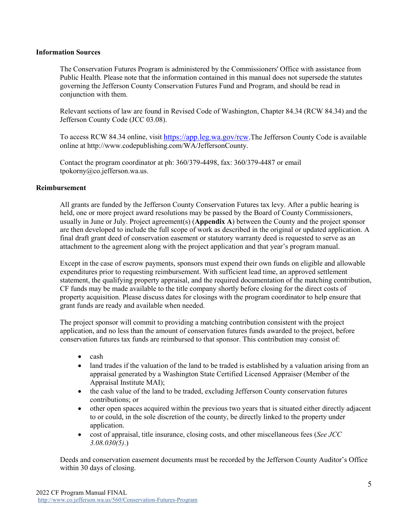#### **Information Sources**

The Conservation Futures Program is administered by the Commissioners' Office with assistance from Public Health. Please note that the information contained in this manual does not supersede the statutes governing the Jefferson County Conservation Futures Fund and Program, and should be read in conjunction with them.

Relevant sections of law are found in Revised Code of Washington, Chapter 84.34 (RCW 84.34) and the Jefferson County Code (JCC 03.08).

To access RCW 84.34 online, visit https://app.leg.wa.gov/rcw.The Jefferson County Code is available online at http://www.codepublishing.com/WA/JeffersonCounty.

Contact the program coordinator at ph: 360/379-4498, fax: 360/379-4487 or email [tpokorny@co.jefferson.wa.us.](mailto:tpokorny@co.jefferson.wa.us)

#### **Reimbursement**

All grants are funded by the Jefferson County Conservation Futures tax levy. After a public hearing is held, one or more project award resolutions may be passed by the Board of County Commissioners, usually in June or July. Project agreement(s) (**Appendix A**) between the County and the project sponsor are then developed to include the full scope of work as described in the original or updated application. A final draft grant deed of conservation easement or statutory warranty deed is requested to serve as an attachment to the agreement along with the project application and that year's program manual.

Except in the case of escrow payments, sponsors must expend their own funds on eligible and allowable expenditures prior to requesting reimbursement. With sufficient lead time, an approved settlement statement, the qualifying property appraisal, and the required documentation of the matching contribution, CF funds may be made available to the title company shortly before closing for the direct costs of property acquisition. Please discuss dates for closings with the program coordinator to help ensure that grant funds are ready and available when needed.

The project sponsor will commit to providing a matching contribution consistent with the project application, and no less than the amount of conservation futures funds awarded to the project, before conservation futures tax funds are reimbursed to that sponsor. This contribution may consist of:

- cash
- land trades if the valuation of the land to be traded is established by a valuation arising from an appraisal generated by a Washington State Certified Licensed Appraiser (Member of the Appraisal Institute MAI);
- the cash value of the land to be traded, excluding Jefferson County conservation futures contributions; or
- other open spaces acquired within the previous two years that is situated either directly adjacent to or could, in the sole discretion of the county, be directly linked to the property under application.
- cost of appraisal, title insurance, closing costs, and other miscellaneous fees (*See JCC 3.08.030(5)*.)

Deeds and conservation easement documents must be recorded by the Jefferson County Auditor's Office within 30 days of closing.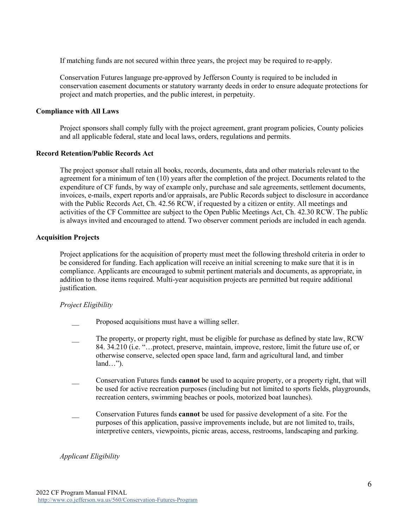If matching funds are not secured within three years, the project may be required to re-apply.

Conservation Futures language pre-approved by Jefferson County is required to be included in conservation easement documents or statutory warranty deeds in order to ensure adequate protections for project and match properties, and the public interest, in perpetuity.

#### **Compliance with All Laws**

Project sponsors shall comply fully with the project agreement, grant program policies, County policies and all applicable federal, state and local laws, orders, regulations and permits.

#### **Record Retention/Public Records Act**

The project sponsor shall retain all books, records, documents, data and other materials relevant to the agreement for a minimum of ten (10) years after the completion of the project. Documents related to the expenditure of CF funds, by way of example only, purchase and sale agreements, settlement documents, invoices, e-mails, expert reports and/or appraisals, are Public Records subject to disclosure in accordance with the Public Records Act, Ch. 42.56 RCW, if requested by a citizen or entity. All meetings and activities of the CF Committee are subject to the Open Public Meetings Act, Ch. 42.30 RCW. The public is always invited and encouraged to attend. Two observer comment periods are included in each agenda.

#### **Acquisition Projects**

Project applications for the acquisition of property must meet the following threshold criteria in order to be considered for funding. Each application will receive an initial screening to make sure that it is in compliance. Applicants are encouraged to submit pertinent materials and documents, as appropriate, in addition to those items required. Multi-year acquisition projects are permitted but require additional justification.

#### *Project Eligibility*

- Proposed acquisitions must have a willing seller.
- The property, or property right, must be eligible for purchase as defined by state law, RCW 84. 34.210 (i.e. "…protect, preserve, maintain, improve, restore, limit the future use of, or otherwise conserve, selected open space land, farm and agricultural land, and timber land…").
- \_\_ Conservation Futures funds **cannot** be used to acquire property, or a property right, that will be used for active recreation purposes (including but not limited to sports fields, playgrounds, recreation centers, swimming beaches or pools, motorized boat launches).
- \_\_ Conservation Futures funds **cannot** be used for passive development of a site. For the purposes of this application, passive improvements include, but are not limited to, trails, interpretive centers, viewpoints, picnic areas, access, restrooms, landscaping and parking.

#### *Applicant Eligibility*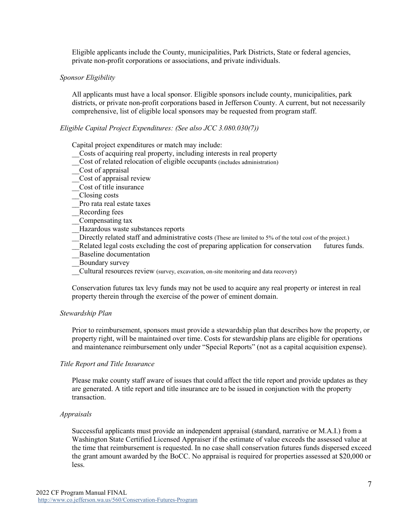Eligible applicants include the County, municipalities, Park Districts, State or federal agencies, private non-profit corporations or associations, and private individuals.

#### *Sponsor Eligibility*

All applicants must have a local sponsor. Eligible sponsors include county, municipalities, park districts, or private non-profit corporations based in Jefferson County. A current, but not necessarily comprehensive, list of eligible local sponsors may be requested from program staff.

#### *Eligible Capital Project Expenditures: (See also JCC 3.080.030(7))*

Capital project expenditures or match may include:

- \_\_Costs of acquiring real property, including interests in real property
- Cost of related relocation of eligible occupants (includes administration)
- \_\_Cost of appraisal
- \_\_Cost of appraisal review
- \_\_Cost of title insurance
- \_\_Closing costs
- \_\_Pro rata real estate taxes
- \_\_Recording fees
- \_\_Compensating tax
- \_\_Hazardous waste substances reports
- Directly related staff and administrative costs (These are limited to 5% of the total cost of the project.)
- Related legal costs excluding the cost of preparing application for conservation futures funds.
- Baseline documentation
- \_\_Boundary survey
- \_\_Cultural resources review (survey, excavation, on-site monitoring and data recovery)

Conservation futures tax levy funds may not be used to acquire any real property or interest in real property therein through the exercise of the power of eminent domain.

#### *Stewardship Plan*

Prior to reimbursement, sponsors must provide a stewardship plan that describes how the property, or property right, will be maintained over time. Costs for stewardship plans are eligible for operations and maintenance reimbursement only under "Special Reports" (not as a capital acquisition expense).

#### *Title Report and Title Insurance*

Please make county staff aware of issues that could affect the title report and provide updates as they are generated. A title report and title insurance are to be issued in conjunction with the property transaction.

#### *Appraisals*

Successful applicants must provide an independent appraisal (standard, narrative or M.A.I.) from a Washington State Certified Licensed Appraiser if the estimate of value exceeds the assessed value at the time that reimbursement is requested. In no case shall conservation futures funds dispersed exceed the grant amount awarded by the BoCC. No appraisal is required for properties assessed at \$20,000 or less.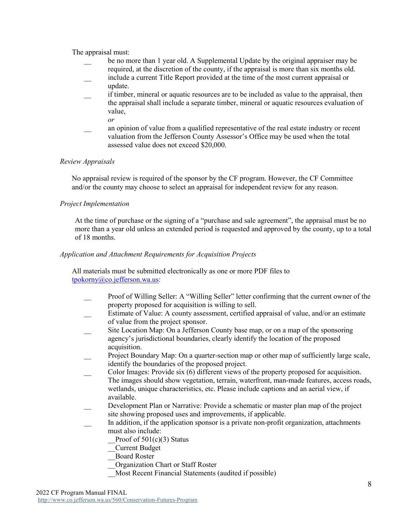The appraisal must:

- be no more than 1 year old. A Supplemental Update by the original appraiser may be required, at the discretion of the county, if the appraisal is more than six months old.
- include a current Title Report provided at the time of the most current appraisal or update.
- if timber, mineral or aquatic resources are to be included as value to the appraisal, then the appraisal shall include a separate timber, mineral or aquatic resources evaluation of value, *or*
- \_\_ an opinion of value from a qualified representative of the real estate industry or recent valuation from the Jefferson County Assessor's Office may be used when the total assessed value does not exceed \$20,000.

#### *Review Appraisals*

No appraisal review is required of the sponsor by the CF program. However, the CF Committee and/or the county may choose to select an appraisal for independent review for any reason.

#### *Project Implementation*

At the time of purchase or the signing of a "purchase and sale agreement", the appraisal must be no more than a year old unless an extended period is requested and approved by the county, up to a total of 18 months.

#### *Application and Attachment Requirements for Acquisition Projects*

All materials must be submitted electronically as one or more PDF files to [tpokorny@co.jefferson.wa.us:](mailto:tpokorny@co.jefferson.wa.us)

- Proof of Willing Seller: A "Willing Seller" letter confirming that the current owner of the property proposed for acquisition is willing to sell.
- Estimate of Value: A county assessment, certified appraisal of value, and/or an estimate of value from the project sponsor.
- Site Location Map: On a Jefferson County base map, or on a map of the sponsoring agency's jurisdictional boundaries, clearly identify the location of the proposed acquisition.
- Project Boundary Map: On a quarter-section map or other map of sufficiently large scale, identify the boundaries of the proposed project.
- Color Images: Provide six (6) different views of the property proposed for acquisition.
- The images should show vegetation, terrain, waterfront, man-made features, access roads, wetlands, unique characteristics, etc. Please include captions and an aerial view, if available.
- Development Plan or Narrative: Provide a schematic or master plan map of the project site showing proposed uses and improvements, if applicable.
- \_\_ In addition, if the application sponsor is a private non-profit organization, attachments must also include:
	- Proof of  $501(c)(3)$  Status
	- \_\_Current Budget
	- \_\_Board Roster
	- \_\_Organization Chart or Staff Roster
	- \_\_Most Recent Financial Statements (audited if possible)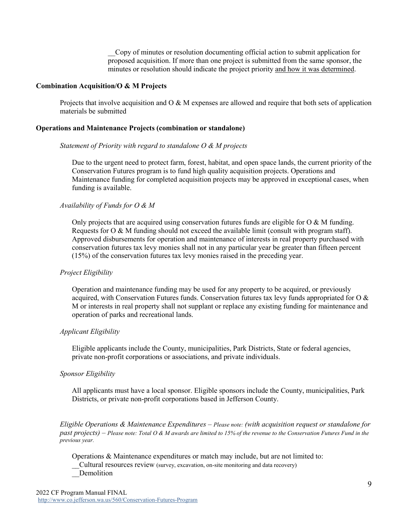\_\_Copy of minutes or resolution documenting official action to submit application for proposed acquisition. If more than one project is submitted from the same sponsor, the minutes or resolution should indicate the project priority and how it was determined.

#### **Combination Acquisition/O & M Projects**

Projects that involve acquisition and  $O \& M$  expenses are allowed and require that both sets of application materials be submitted

#### **Operations and Maintenance Projects (combination or standalone)**

#### *Statement of Priority with regard to standalone O & M projects*

Due to the urgent need to protect farm, forest, habitat, and open space lands, the current priority of the Conservation Futures program is to fund high quality acquisition projects. Operations and Maintenance funding for completed acquisition projects may be approved in exceptional cases, when funding is available.

#### *Availability of Funds for O & M*

Only projects that are acquired using conservation futures funds are eligible for  $\alpha \& M$  funding. Requests for O & M funding should not exceed the available limit (consult with program staff). Approved disbursements for operation and maintenance of interests in real property purchased with conservation futures tax levy monies shall not in any particular year be greater than fifteen percent (15%) of the conservation futures tax levy monies raised in the preceding year.

#### *Project Eligibility*

Operation and maintenance funding may be used for any property to be acquired, or previously acquired, with Conservation Futures funds. Conservation futures tax levy funds appropriated for O  $\&$ M or interests in real property shall not supplant or replace any existing funding for maintenance and operation of parks and recreational lands.

#### *Applicant Eligibility*

Eligible applicants include the County, municipalities, Park Districts, State or federal agencies, private non-profit corporations or associations, and private individuals.

#### *Sponsor Eligibility*

All applicants must have a local sponsor. Eligible sponsors include the County, municipalities, Park Districts, or private non-profit corporations based in Jefferson County.

*Eligible Operations & Maintenance Expenditures – Please note: (with acquisition request or standalone for* past projects) - Please note: Total O & M awards are limited to 15% of the revenue to the Conservation Futures Fund in the *previous year.*

Operations & Maintenance expenditures or match may include, but are not limited to: \_\_Cultural resources review (survey, excavation, on-site monitoring and data recovery) \_\_Demolition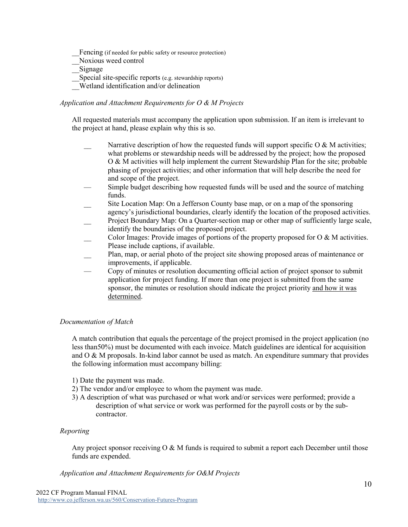Fencing (if needed for public safety or resource protection)

\_\_Noxious weed control

\_\_Signage

Special site-specific reports (e.g. stewardship reports)

\_\_Wetland identification and/or delineation

#### *Application and Attachment Requirements for O & M Projects*

All requested materials must accompany the application upon submission. If an item is irrelevant to the project at hand, please explain why this is so.

- Narrative description of how the requested funds will support specific O & M activities; what problems or stewardship needs will be addressed by the project; how the proposed O & M activities will help implement the current Stewardship Plan for the site; probable phasing of project activities; and other information that will help describe the need for and scope of the project.
- Simple budget describing how requested funds will be used and the source of matching funds.
- Site Location Map: On a Jefferson County base map, or on a map of the sponsoring agency's jurisdictional boundaries, clearly identify the location of the proposed activities.
- Project Boundary Map: On a Quarter-section map or other map of sufficiently large scale, identify the boundaries of the proposed project.
- Color Images: Provide images of portions of the property proposed for  $O & M$  activities. Please include captions, if available.
- \_\_ Plan, map, or aerial photo of the project site showing proposed areas of maintenance or improvements, if applicable.
- Copy of minutes or resolution documenting official action of project sponsor to submit application for project funding. If more than one project is submitted from the same sponsor, the minutes or resolution should indicate the project priority and how it was determined.

### *Documentation of Match*

A match contribution that equals the percentage of the project promised in the project application (no less than50%) must be documented with each invoice. Match guidelines are identical for acquisition and  $\overline{O} \& M$  proposals. In-kind labor cannot be used as match. An expenditure summary that provides the following information must accompany billing:

- 1) Date the payment was made.
- 2) The vendor and/or employee to whom the payment was made.
- 3) A description of what was purchased or what work and/or services were performed; provide a description of what service or work was performed for the payroll costs or by the subcontractor.

### *Reporting*

Any project sponsor receiving  $\overline{O} \& M$  funds is required to submit a report each December until those funds are expended.

*Application and Attachment Requirements for O&M Projects*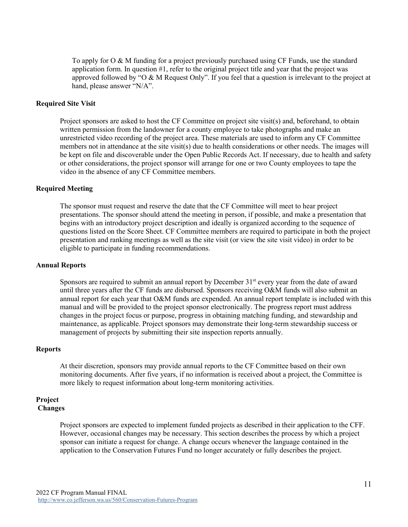To apply for O & M funding for a project previously purchased using CF Funds, use the standard application form. In question #1, refer to the original project title and year that the project was approved followed by "O & M Request Only". If you feel that a question is irrelevant to the project at hand, please answer "N/A".

#### **Required Site Visit**

Project sponsors are asked to host the CF Committee on project site visit(s) and, beforehand, to obtain written permission from the landowner for a county employee to take photographs and make an unrestricted video recording of the project area. These materials are used to inform any CF Committee members not in attendance at the site visit(s) due to health considerations or other needs. The images will be kept on file and discoverable under the Open Public Records Act. If necessary, due to health and safety or other considerations, the project sponsor will arrange for one or two County employees to tape the video in the absence of any CF Committee members.

#### **Required Meeting**

The sponsor must request and reserve the date that the CF Committee will meet to hear project presentations. The sponsor should attend the meeting in person, if possible, and make a presentation that begins with an introductory project description and ideally is organized according to the sequence of questions listed on the Score Sheet. CF Committee members are required to participate in both the project presentation and ranking meetings as well as the site visit (or view the site visit video) in order to be eligible to participate in funding recommendations.

#### **Annual Reports**

Sponsors are required to submit an annual report by December 31<sup>st</sup> every year from the date of award until three years after the CF funds are disbursed. Sponsors receiving O&M funds will also submit an annual report for each year that O&M funds are expended. An annual report template is included with this manual and will be provided to the project sponsor electronically. The progress report must address changes in the project focus or purpose, progress in obtaining matching funding, and stewardship and maintenance, as applicable. Project sponsors may demonstrate their long-term stewardship success or management of projects by submitting their site inspection reports annually.

#### **Reports**

At their discretion, sponsors may provide annual reports to the CF Committee based on their own monitoring documents. After five years, if no information is received about a project, the Committee is more likely to request information about long-term monitoring activities.

#### **Project Changes**

Project sponsors are expected to implement funded projects as described in their application to the CFF. However, occasional changes may be necessary. This section describes the process by which a project sponsor can initiate a request for change. A change occurs whenever the language contained in the application to the Conservation Futures Fund no longer accurately or fully describes the project.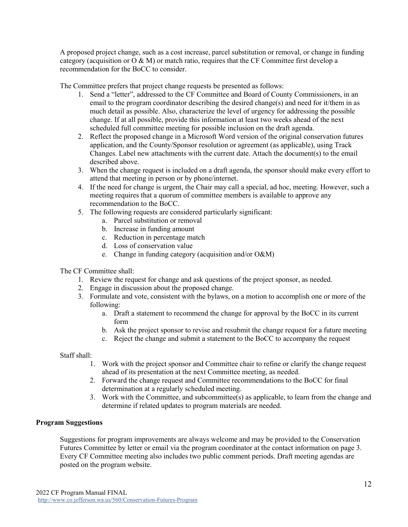A proposed project change, such as a cost increase, parcel substitution or removal, or change in funding category (acquisition or  $O & M$ ) or match ratio, requires that the CF Committee first develop a recommendation for the BoCC to consider.

The Committee prefers that project change requests be presented as follows:

- 1. Send a "letter", addressed to the CF Committee and Board of County Commissioners, in an email to the program coordinator describing the desired change(s) and need for it/them in as much detail as possible. Also, characterize the level of urgency for addressing the possible change. If at all possible, provide this information at least two weeks ahead of the next scheduled full committee meeting for possible inclusion on the draft agenda.
- 2. Reflect the proposed change in a Microsoft Word version of the original conservation futures application, and the County/Sponsor resolution or agreement (as applicable), using Track Changes. Label new attachments with the current date. Attach the document(s) to the email described above.
- 3. When the change request is included on a draft agenda, the sponsor should make every effort to attend that meeting in person or by phone/internet.
- 4. If the need for change is urgent, the Chair may call a special, ad hoc, meeting. However, such a meeting requires that a quorum of committee members is available to approve any recommendation to the BoCC.
- 5. The following requests are considered particularly significant:
	- a. Parcel substitution or removal
	- b. Increase in funding amount
	- c. Reduction in percentage match
	- d. Loss of conservation value
	- e. Change in funding category (acquisition and/or O&M)

#### The CF Committee shall:

- 1. Review the request for change and ask questions of the project sponsor, as needed.
- 2. Engage in discussion about the proposed change.
- 3. Formulate and vote, consistent with the bylaws, on a motion to accomplish one or more of the following:
	- a. Draft a statement to recommend the change for approval by the BoCC in its current form
	- b. Ask the project sponsor to revise and resubmit the change request for a future meeting
	- c. Reject the change and submit a statement to the BoCC to accompany the request

#### Staff shall:

- 1. Work with the project sponsor and Committee chair to refine or clarify the change request ahead of its presentation at the next Committee meeting, as needed.
- 2. Forward the change request and Committee recommendations to the BoCC for final determination at a regularly scheduled meeting.
- 3. Work with the Committee, and subcommittee(s) as applicable, to learn from the change and determine if related updates to program materials are needed.

#### **Program Suggestions**

Suggestions for program improvements are always welcome and may be provided to the Conservation Futures Committee by letter or email via the program coordinator at the contact information on page 3. Every CF Committee meeting also includes two public comment periods. Draft meeting agendas are posted on the program website.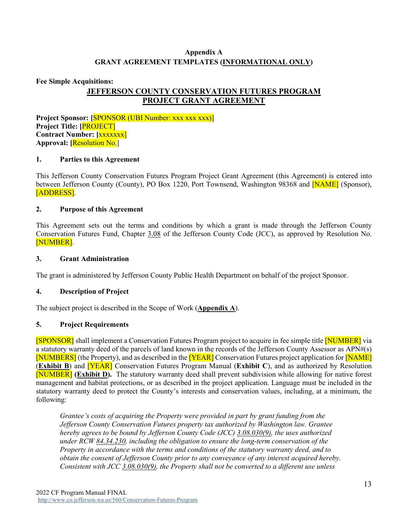## **Appendix A GRANT AGREEMENT TEMPLATES (INFORMATIONAL ONLY)**

#### **Fee Simple Acquisitions:**

# **JEFFERSON COUNTY CONSERVATION FUTURES PROGRAM PROJECT GRANT AGREEMENT**

**Project Sponsor: [**SPONSOR (UBI Number: xxx xxx xxx)] **Project Title: [**PROJECT] **Contract Number: [**xxxxxxx] **Approval: [**Resolution No.]

#### **1. Parties to this Agreement**

This Jefferson County Conservation Futures Program Project Grant Agreement (this Agreement) is entered into between Jefferson County (County), PO Box 1220, Port Townsend, Washington 98368 and **[NAME]** (Sponsor), [ADDRESS].

#### **2. Purpose of this Agreement**

This Agreement sets out the terms and conditions by which a grant is made through the Jefferson County Conservation Futures Fund, Chapter [3.08](https://www.codepublishing.com/WA/JeffersonCounty/#!/JeffersonCounty03/JeffersonCounty0308.html) of the Jefferson County Code (JCC), as approved by Resolution No. [NUMBER].

#### **3. Grant Administration**

The grant is administered by Jefferson County Public Health Department on behalf of the project Sponsor.

#### **4. Description of Project**

The subject project is described in the Scope of Work (**Appendix A**).

#### **5. Project Requirements**

[SPONSOR] shall implement a Conservation Futures Program project to acquire in fee simple title [NUMBER] via a statutory warranty deed of the parcels of land known in the records of the Jefferson County Assessor as APN#(s) [NUMBERS] (the Property), and as described in the [YEAR] Conservation Futures project application for [NAME] (**Exhibit B**) and [YEAR] Conservation Futures Program Manual (**Exhibit C**), and as authorized by Resolution [NUMBER] **(Exhibit D).** The statutory warranty deed shall prevent subdivision while allowing for native forest management and habitat protections, or as described in the project application. Language must be included in the statutory warranty deed to protect the County's interests and conservation values, including, at a minimum, the following:

*Grantee's costs of acquiring the Property were provided in part by grant funding from the Jefferson County Conservation Futures property tax authorized by Washington law. Grantee hereby agrees to be bound by Jefferson County Code (JCC) [3.08.030\(9\),](https://www.codepublishing.com/WA/JeffersonCounty/#!/JeffersonCounty03/JeffersonCounty0308.html) the uses authorized under RCW [84.34.230,](https://app.leg.wa.gov/rcw/default.aspx?cite=84.34.230) including the obligation to ensure the long-term conservation of the Property in accordance with the terms and conditions of the statutory warranty deed, and to obtain the consent of Jefferson County prior to any conveyance of any interest acquired hereby. Consistent with JCC [3.08.030\(9\),](https://www.codepublishing.com/WA/JeffersonCounty/#!/JeffersonCounty03/JeffersonCounty0308.html) the Property shall not be converted to a different use unless*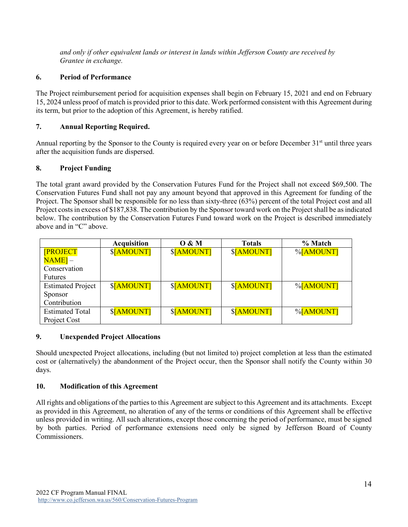*and only if other equivalent lands or interest in lands within Jefferson County are received by Grantee in exchange.*

### **6. Period of Performance**

The Project reimbursement period for acquisition expenses shall begin on February 15, 2021 and end on February 15, 2024 unless proof of match is provided prior to this date. Work performed consistent with this Agreement during its term, but prior to the adoption of this Agreement, is hereby ratified.

#### **7. Annual Reporting Required.**

Annual reporting by the Sponsor to the County is required every year on or before December 31st until three years after the acquisition funds are dispersed.

#### **8. Project Funding**

The total grant award provided by the Conservation Futures Fund for the Project shall not exceed \$69,500. The Conservation Futures Fund shall not pay any amount beyond that approved in this Agreement for funding of the Project. The Sponsor shall be responsible for no less than sixty-three (63%) percent of the total Project cost and all Project costs in excess of \$187,838. The contribution by the Sponsor toward work on the Project shall be as indicated below. The contribution by the Conservation Futures Fund toward work on the Project is described immediately above and in "C" above.

|                          | <b>Acquisition</b> | 0 & M      | <b>Totals</b> | % Match   |
|--------------------------|--------------------|------------|---------------|-----------|
| <b>[PROJECT</b>          | \$[AMOUNT]         | \$[AMOUNT] | \$[AMOUNT]    | %[AMOUNT] |
| $NAME$ ] $-$             |                    |            |               |           |
| Conservation             |                    |            |               |           |
| <b>Futures</b>           |                    |            |               |           |
| <b>Estimated Project</b> | \$[AMOUNT]         | \$[AMOUNT] | \$[AMOUNT]    | %[AMOUNT] |
| Sponsor                  |                    |            |               |           |
| Contribution             |                    |            |               |           |
| <b>Estimated Total</b>   | \$[AMOUNT]         | \$[AMOUNT] | \$[AMOUNT]    | %[AMOUNT] |
| Project Cost             |                    |            |               |           |

#### **9. Unexpended Project Allocations**

Should unexpected Project allocations, including (but not limited to) project completion at less than the estimated cost or (alternatively) the abandonment of the Project occur, then the Sponsor shall notify the County within 30 days.

#### **10. Modification of this Agreement**

All rights and obligations of the parties to this Agreement are subject to this Agreement and its attachments. Except as provided in this Agreement, no alteration of any of the terms or conditions of this Agreement shall be effective unless provided in writing. All such alterations, except those concerning the period of performance, must be signed by both parties. Period of performance extensions need only be signed by Jefferson Board of County Commissioners.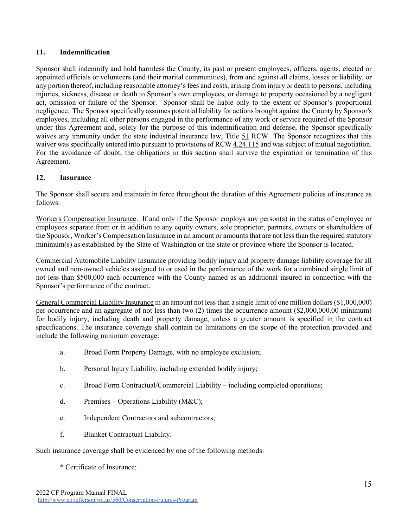#### **11. Indemnification**

Sponsor shall indemnify and hold harmless the County, its past or present employees, officers, agents, elected or appointed officials or volunteers (and their marital communities), from and against all claims, losses or liability, or any portion thereof, including reasonable attorney's fees and costs, arising from injury or death to persons, including injuries, sickness, disease or death to Sponsor's own employees, or damage to property occasioned by a negligent act, omission or failure of the Sponsor. Sponsor shall be liable only to the extent of Sponsor's proportional negligence. The Sponsor specifically assumes potential liability for actions brought against the County by Sponsor's employees, including all other persons engaged in the performance of any work or service required of the Sponsor under this Agreement and, solely for the purpose of this indemnification and defense, the Sponsor specifically waives any immunity under the state industrial insurance law, Title [51](https://apps.leg.wa.gov/rcw/default.aspx?Cite=51) RCW The Sponsor recognizes that this waiver was specifically entered into pursuant to provisions of RC[W 4.24.115](https://app.leg.wa.gov/rcw/default.aspx?cite=4.24.115) and was subject of mutual negotiation. For the avoidance of doubt, the obligations in this section shall survive the expiration or termination of this Agreement.

#### **12. Insurance**

The Sponsor shall secure and maintain in force throughout the duration of this Agreement policies of insurance as follows:

Workers Compensation Insurance. If and only if the Sponsor employs any person(s) in the status of employee or employees separate from or in addition to any equity owners, sole proprietor, partners, owners or shareholders of the Sponsor, Worker's Compensation Insurance in an amount or amounts that are not less than the required statutory minimum(s) as established by the State of Washington or the state or province where the Sponsor is located.

Commercial Automobile Liability Insurance providing bodily injury and property damage liability coverage for all owned and non-owned vehicles assigned to or used in the performance of the work for a combined single limit of not less than \$500,000 each occurrence with the County named as an additional insured in connection with the Sponsor's performance of the contract.

General Commercial Liability Insurance in an amount not less than a single limit of one million dollars (\$1,000,000) per occurrence and an aggregate of not less than two (2) times the occurrence amount (\$2,000,000.00 minimum) for bodily injury, including death and property damage, unless a greater amount is specified in the contract specifications. The insurance coverage shall contain no limitations on the scope of the protection provided and include the following minimum coverage:

- a. Broad Form Property Damage, with no employee exclusion;
- b. Personal Injury Liability, including extended bodily injury;
- c. Broad Form Contractual/Commercial Liability including completed operations;
- d. Premises Operations Liability (M&C);
- e. Independent Contractors and subcontractors;
- f. Blanket Contractual Liability.

Such insurance coverage shall be evidenced by one of the following methods:

\* Certificate of Insurance;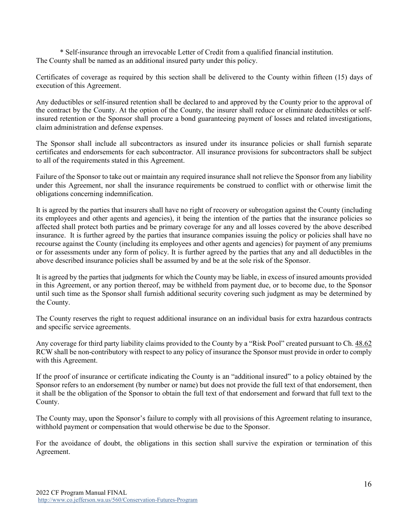\* Self-insurance through an irrevocable Letter of Credit from a qualified financial institution. The County shall be named as an additional insured party under this policy.

Certificates of coverage as required by this section shall be delivered to the County within fifteen (15) days of execution of this Agreement.

Any deductibles or self-insured retention shall be declared to and approved by the County prior to the approval of the contract by the County. At the option of the County, the insurer shall reduce or eliminate deductibles or selfinsured retention or the Sponsor shall procure a bond guaranteeing payment of losses and related investigations, claim administration and defense expenses.

The Sponsor shall include all subcontractors as insured under its insurance policies or shall furnish separate certificates and endorsements for each subcontractor. All insurance provisions for subcontractors shall be subject to all of the requirements stated in this Agreement.

Failure of the Sponsor to take out or maintain any required insurance shall not relieve the Sponsor from any liability under this Agreement, nor shall the insurance requirements be construed to conflict with or otherwise limit the obligations concerning indemnification.

It is agreed by the parties that insurers shall have no right of recovery or subrogation against the County (including its employees and other agents and agencies), it being the intention of the parties that the insurance policies so affected shall protect both parties and be primary coverage for any and all losses covered by the above described insurance. It is further agreed by the parties that insurance companies issuing the policy or policies shall have no recourse against the County (including its employees and other agents and agencies) for payment of any premiums or for assessments under any form of policy. It is further agreed by the parties that any and all deductibles in the above described insurance policies shall be assumed by and be at the sole risk of the Sponsor.

It is agreed by the parties that judgments for which the County may be liable, in excess of insured amounts provided in this Agreement, or any portion thereof, may be withheld from payment due, or to become due, to the Sponsor until such time as the Sponsor shall furnish additional security covering such judgment as may be determined by the County.

The County reserves the right to request additional insurance on an individual basis for extra hazardous contracts and specific service agreements.

Any coverage for third party liability claims provided to the County by a "Risk Pool" created pursuant to Ch.  $48.62$ RCW shall be non-contributory with respect to any policy of insurance the Sponsor must provide in order to comply with this Agreement.

If the proof of insurance or certificate indicating the County is an "additional insured" to a policy obtained by the Sponsor refers to an endorsement (by number or name) but does not provide the full text of that endorsement, then it shall be the obligation of the Sponsor to obtain the full text of that endorsement and forward that full text to the County.

The County may, upon the Sponsor's failure to comply with all provisions of this Agreement relating to insurance, withhold payment or compensation that would otherwise be due to the Sponsor.

For the avoidance of doubt, the obligations in this section shall survive the expiration or termination of this Agreement.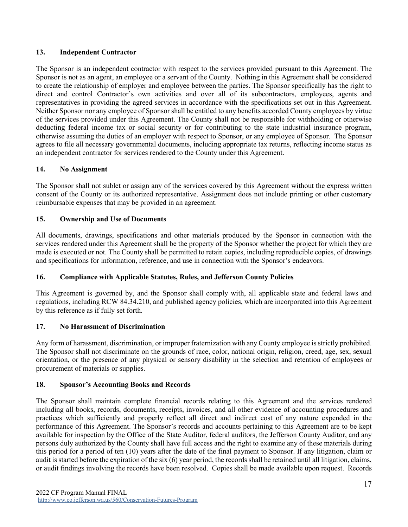### **13. Independent Contractor**

The Sponsor is an independent contractor with respect to the services provided pursuant to this Agreement. The Sponsor is not as an agent, an employee or a servant of the County. Nothing in this Agreement shall be considered to create the relationship of employer and employee between the parties. The Sponsor specifically has the right to direct and control Contractor's own activities and over all of its subcontractors, employees, agents and representatives in providing the agreed services in accordance with the specifications set out in this Agreement. Neither Sponsor nor any employee of Sponsor shall be entitled to any benefits accorded County employees by virtue of the services provided under this Agreement. The County shall not be responsible for withholding or otherwise deducting federal income tax or social security or for contributing to the state industrial insurance program, otherwise assuming the duties of an employer with respect to Sponsor, or any employee of Sponsor. The Sponsor agrees to file all necessary governmental documents, including appropriate tax returns, reflecting income status as an independent contractor for services rendered to the County under this Agreement.

#### **14. No Assignment**

The Sponsor shall not sublet or assign any of the services covered by this Agreement without the express written consent of the County or its authorized representative. Assignment does not include printing or other customary reimbursable expenses that may be provided in an agreement.

#### **15. Ownership and Use of Documents**

All documents, drawings, specifications and other materials produced by the Sponsor in connection with the services rendered under this Agreement shall be the property of the Sponsor whether the project for which they are made is executed or not. The County shall be permitted to retain copies, including reproducible copies, of drawings and specifications for information, reference, and use in connection with the Sponsor's endeavors.

### **16. Compliance with Applicable Statutes, Rules, and Jefferson County Policies**

This Agreement is governed by, and the Sponsor shall comply with, all applicable state and federal laws and regulations, including RCW [84.34.210,](https://app.leg.wa.gov/rcw/default.aspx?cite=84.34.210) and published agency policies, which are incorporated into this Agreement by this reference as if fully set forth.

### **17. No Harassment of Discrimination**

Any form of harassment, discrimination, or improper fraternization with any County employee is strictly prohibited. The Sponsor shall not discriminate on the grounds of race, color, national origin, religion, creed, age, sex, sexual orientation, or the presence of any physical or sensory disability in the selection and retention of employees or procurement of materials or supplies.

#### **18. Sponsor's Accounting Books and Records**

The Sponsor shall maintain complete financial records relating to this Agreement and the services rendered including all books, records, documents, receipts, invoices, and all other evidence of accounting procedures and practices which sufficiently and properly reflect all direct and indirect cost of any nature expended in the performance of this Agreement. The Sponsor's records and accounts pertaining to this Agreement are to be kept available for inspection by the Office of the State Auditor, federal auditors, the Jefferson County Auditor, and any persons duly authorized by the County shall have full access and the right to examine any of these materials during this period for a period of ten (10) years after the date of the final payment to Sponsor. If any litigation, claim or audit is started before the expiration of the six (6) year period, the records shall be retained until all litigation, claims, or audit findings involving the records have been resolved. Copies shall be made available upon request. Records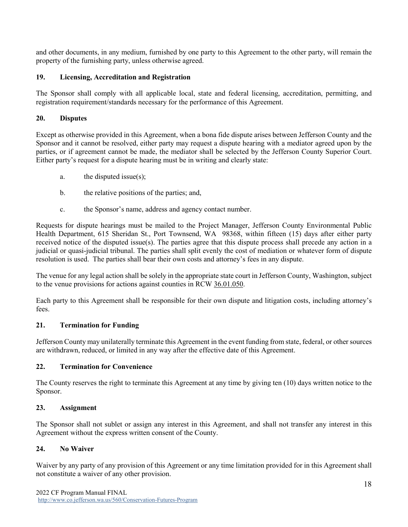and other documents, in any medium, furnished by one party to this Agreement to the other party, will remain the property of the furnishing party, unless otherwise agreed.

### **19. Licensing, Accreditation and Registration**

The Sponsor shall comply with all applicable local, state and federal licensing, accreditation, permitting, and registration requirement/standards necessary for the performance of this Agreement.

# **20. Disputes**

Except as otherwise provided in this Agreement, when a bona fide dispute arises between Jefferson County and the Sponsor and it cannot be resolved, either party may request a dispute hearing with a mediator agreed upon by the parties, or if agreement cannot be made, the mediator shall be selected by the Jefferson County Superior Court. Either party's request for a dispute hearing must be in writing and clearly state:

- a. the disputed issue(s);
- b. the relative positions of the parties; and,
- c. the Sponsor's name, address and agency contact number.

Requests for dispute hearings must be mailed to the Project Manager, Jefferson County Environmental Public Health Department, 615 Sheridan St., Port Townsend, WA 98368, within fifteen (15) days after either party received notice of the disputed issue(s). The parties agree that this dispute process shall precede any action in a judicial or quasi-judicial tribunal. The parties shall split evenly the cost of mediation or whatever form of dispute resolution is used. The parties shall bear their own costs and attorney's fees in any dispute.

The venue for any legal action shall be solely in the appropriate state court in Jefferson County, Washington, subject to the venue provisions for actions against counties in RCW [36.01.050.](https://app.leg.wa.gov/rcw/default.aspx?cite=36.01.050)

Each party to this Agreement shall be responsible for their own dispute and litigation costs, including attorney's fees.

# **21. Termination for Funding**

Jefferson County may unilaterally terminate this Agreement in the event funding from state, federal, or other sources are withdrawn, reduced, or limited in any way after the effective date of this Agreement.

### **22. Termination for Convenience**

The County reserves the right to terminate this Agreement at any time by giving ten (10) days written notice to the Sponsor.

### **23. Assignment**

The Sponsor shall not sublet or assign any interest in this Agreement, and shall not transfer any interest in this Agreement without the express written consent of the County.

### **24. No Waiver**

Waiver by any party of any provision of this Agreement or any time limitation provided for in this Agreement shall not constitute a waiver of any other provision.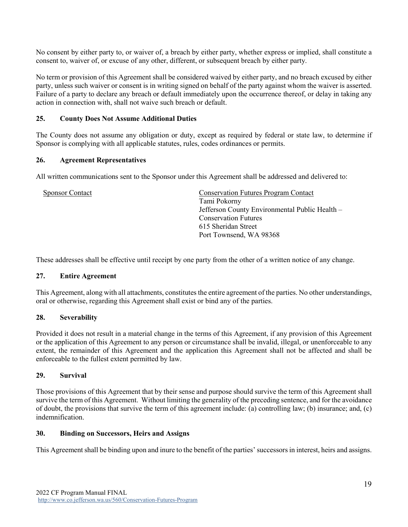No consent by either party to, or waiver of, a breach by either party, whether express or implied, shall constitute a consent to, waiver of, or excuse of any other, different, or subsequent breach by either party.

No term or provision of this Agreement shall be considered waived by either party, and no breach excused by either party, unless such waiver or consent is in writing signed on behalf of the party against whom the waiver is asserted. Failure of a party to declare any breach or default immediately upon the occurrence thereof, or delay in taking any action in connection with, shall not waive such breach or default.

### **25. County Does Not Assume Additional Duties**

The County does not assume any obligation or duty, except as required by federal or state law, to determine if Sponsor is complying with all applicable statutes, rules, codes ordinances or permits.

#### **26. Agreement Representatives**

All written communications sent to the Sponsor under this Agreement shall be addressed and delivered to:

| <b>Sponsor Contact</b> | <b>Conservation Futures Program Contact</b>    |
|------------------------|------------------------------------------------|
|                        | Tami Pokorny                                   |
|                        | Jefferson County Environmental Public Health - |
|                        | <b>Conservation Futures</b>                    |
|                        | 615 Sheridan Street                            |
|                        | Port Townsend, WA 98368                        |
|                        |                                                |

These addresses shall be effective until receipt by one party from the other of a written notice of any change.

#### **27. Entire Agreement**

This Agreement, along with all attachments, constitutes the entire agreement of the parties. No other understandings, oral or otherwise, regarding this Agreement shall exist or bind any of the parties.

#### **28. Severability**

Provided it does not result in a material change in the terms of this Agreement, if any provision of this Agreement or the application of this Agreement to any person or circumstance shall be invalid, illegal, or unenforceable to any extent, the remainder of this Agreement and the application this Agreement shall not be affected and shall be enforceable to the fullest extent permitted by law.

#### **29. Survival**

Those provisions of this Agreement that by their sense and purpose should survive the term of this Agreement shall survive the term of this Agreement. Without limiting the generality of the preceding sentence, and for the avoidance of doubt, the provisions that survive the term of this agreement include: (a) controlling law; (b) insurance; and, (c) indemnification.

#### **30. Binding on Successors, Heirs and Assigns**

This Agreement shall be binding upon and inure to the benefit of the parties' successors in interest, heirs and assigns.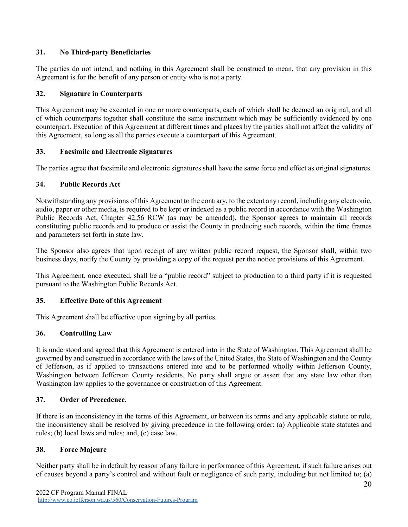# **31. No Third-party Beneficiaries**

The parties do not intend, and nothing in this Agreement shall be construed to mean, that any provision in this Agreement is for the benefit of any person or entity who is not a party.

## **32. Signature in Counterparts**

This Agreement may be executed in one or more counterparts, each of which shall be deemed an original, and all of which counterparts together shall constitute the same instrument which may be sufficiently evidenced by one counterpart. Execution of this Agreement at different times and places by the parties shall not affect the validity of this Agreement, so long as all the parties execute a counterpart of this Agreement.

# **33. Facsimile and Electronic Signatures**

The parties agree that facsimile and electronic signatures shall have the same force and effect as original signatures.

# **34. Public Records Act**

Notwithstanding any provisions of this Agreement to the contrary, to the extent any record, including any electronic, audio, paper or other media, is required to be kept or indexed as a public record in accordance with the Washington Public Records Act, Chapter [42.56](https://apps.leg.wa.gov/rcw/default.aspx?cite=42.56) RCW (as may be amended), the Sponsor agrees to maintain all records constituting public records and to produce or assist the County in producing such records, within the time frames and parameters set forth in state law.

The Sponsor also agrees that upon receipt of any written public record request, the Sponsor shall, within two business days, notify the County by providing a copy of the request per the notice provisions of this Agreement.

This Agreement, once executed, shall be a "public record" subject to production to a third party if it is requested pursuant to the Washington Public Records Act.

### **35. Effective Date of this Agreement**

This Agreement shall be effective upon signing by all parties.

### **36. Controlling Law**

It is understood and agreed that this Agreement is entered into in the State of Washington. This Agreement shall be governed by and construed in accordance with the laws of the United States, the State of Washington and the County of Jefferson, as if applied to transactions entered into and to be performed wholly within Jefferson County, Washington between Jefferson County residents. No party shall argue or assert that any state law other than Washington law applies to the governance or construction of this Agreement.

### **37. Order of Precedence.**

If there is an inconsistency in the terms of this Agreement, or between its terms and any applicable statute or rule, the inconsistency shall be resolved by giving precedence in the following order: (a) Applicable state statutes and rules; (b) local laws and rules; and, (c) case law.

### **38. Force Majeure**

Neither party shall be in default by reason of any failure in performance of this Agreement, if such failure arises out of causes beyond a party's control and without fault or negligence of such party, including but not limited to; (a)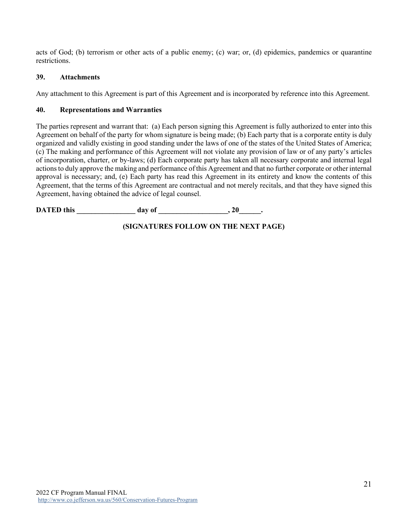acts of God; (b) terrorism or other acts of a public enemy; (c) war; or, (d) epidemics, pandemics or quarantine restrictions.

#### **39. Attachments**

Any attachment to this Agreement is part of this Agreement and is incorporated by reference into this Agreement.

#### **40. Representations and Warranties**

The parties represent and warrant that: (a) Each person signing this Agreement is fully authorized to enter into this Agreement on behalf of the party for whom signature is being made; (b) Each party that is a corporate entity is duly organized and validly existing in good standing under the laws of one of the states of the United States of America; (c) The making and performance of this Agreement will not violate any provision of law or of any party's articles of incorporation, charter, or by-laws; (d) Each corporate party has taken all necessary corporate and internal legal actions to duly approve the making and performance of this Agreement and that no further corporate or other internal approval is necessary; and, (e) Each party has read this Agreement in its entirety and know the contents of this Agreement, that the terms of this Agreement are contractual and not merely recitals, and that they have signed this Agreement, having obtained the advice of legal counsel.

**DATED this \_\_\_\_\_\_\_\_\_\_\_\_\_\_\_\_ day of \_\_\_\_\_\_\_\_\_\_\_\_\_\_\_\_\_\_\_, 20\_\_\_\_\_\_.**

# **(SIGNATURES FOLLOW ON THE NEXT PAGE)**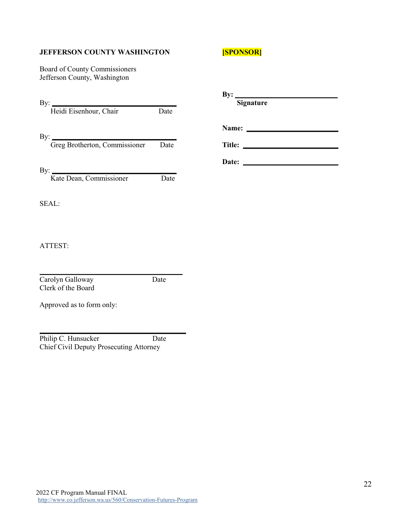#### **JEFFERSON COUNTY WASHINGTON**

Board of County Commissioners Jefferson County, Washington

| <b>SPONSOR</b> |
|----------------|
|----------------|

| By:<br>Heidi Eisenhour, Chair        | Date |
|--------------------------------------|------|
| By:<br>Greg Brotherton, Commissioner | Date |
| By:<br>Kate Dean, Commissioner       | Date |

#### SEAL:

ATTEST:

 $\frac{1}{2}$  ,  $\frac{1}{2}$  ,  $\frac{1}{2}$  ,  $\frac{1}{2}$  ,  $\frac{1}{2}$  ,  $\frac{1}{2}$  ,  $\frac{1}{2}$  ,  $\frac{1}{2}$  ,  $\frac{1}{2}$  ,  $\frac{1}{2}$  ,  $\frac{1}{2}$  ,  $\frac{1}{2}$  ,  $\frac{1}{2}$  ,  $\frac{1}{2}$  ,  $\frac{1}{2}$  ,  $\frac{1}{2}$  ,  $\frac{1}{2}$  ,  $\frac{1}{2}$  ,  $\frac{1$ Carolyn Galloway Date Clerk of the Board

Approved as to form only:

Philip C. Hunsucker Date Chief Civil Deputy Prosecuting Attorney

 $\frac{1}{2}$  , and the set of the set of the set of the set of the set of the set of the set of the set of the set of the set of the set of the set of the set of the set of the set of the set of the set of the set of the set

| By:    | Signature |  |
|--------|-----------|--|
| Name:  |           |  |
| Title: |           |  |
| Date:  |           |  |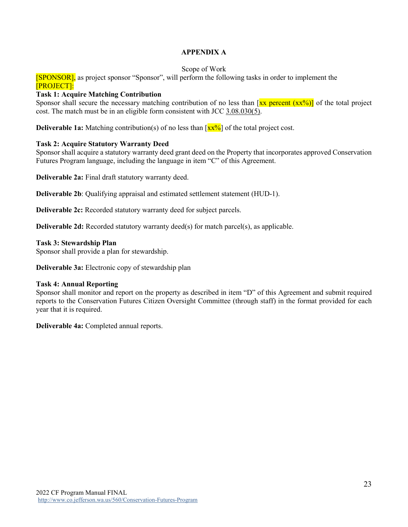### **APPENDIX A**

#### Scope of Work

[SPONSOR], as project sponsor "Sponsor", will perform the following tasks in order to implement the [PROJECT]:

#### **Task 1: Acquire Matching Contribution**

Sponsor shall secure the necessary matching contribution of no less than  $[\frac{xx}{xx}]\text{ percent }(\frac{xx}{0})]$  of the total project cost. The match must be in an eligible form consistent with JCC [3.08.030\(5\).](https://www.codepublishing.com/WA/JeffersonCounty/#!/JeffersonCounty03/JeffersonCounty0308.html)

**Deliverable 1a:** Matching contribution(s) of no less than  $\left[\frac{xx\%}{} \right]$  of the total project cost.

#### **Task 2: Acquire Statutory Warranty Deed**

Sponsor shall acquire a statutory warranty deed grant deed on the Property that incorporates approved Conservation Futures Program language, including the language in item "C" of this Agreement.

**Deliverable 2a:** Final draft statutory warranty deed.

**Deliverable 2b**: Qualifying appraisal and estimated settlement statement (HUD-1).

**Deliverable 2c:** Recorded statutory warranty deed for subject parcels.

**Deliverable 2d:** Recorded statutory warranty deed(s) for match parcel(s), as applicable.

#### **Task 3: Stewardship Plan**

Sponsor shall provide a plan for stewardship.

**Deliverable 3a:** Electronic copy of stewardship plan

#### **Task 4: Annual Reporting**

Sponsor shall monitor and report on the property as described in item "D" of this Agreement and submit required reports to the Conservation Futures Citizen Oversight Committee (through staff) in the format provided for each year that it is required.

**Deliverable 4a:** Completed annual reports.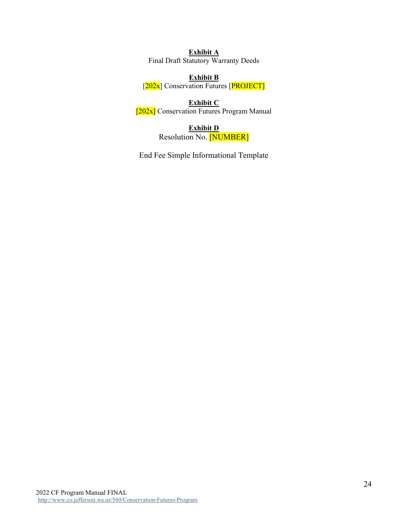**Exhibit A** Final Draft Statutory Warranty Deeds

**Exhibit B** [202x] Conservation Futures [PROJECT]

**Exhibit C** [202x] Conservation Futures Program Manual

> **Exhibit D** Resolution No. [NUMBER]

End Fee Simple Informational Template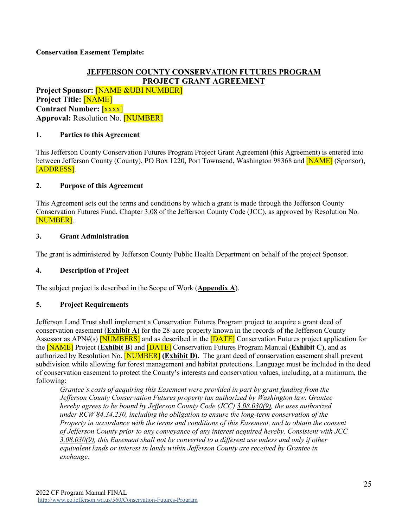### **Conservation Easement Template:**

# **JEFFERSON COUNTY CONSERVATION FUTURES PROGRAM PROJECT GRANT AGREEMENT**

**Project Sponsor:** [NAME &UBI NUMBER] **Project Title:** [NAME] **Contract Number: [**xxxx] **Approval:** Resolution No. [NUMBER]

#### **1. Parties to this Agreement**

This Jefferson County Conservation Futures Program Project Grant Agreement (this Agreement) is entered into between Jefferson County (County), PO Box 1220, Port Townsend, Washington 98368 and **NAME** (Sponsor), [ADDRESS].

#### **2. Purpose of this Agreement**

This Agreement sets out the terms and conditions by which a grant is made through the Jefferson County Conservation Futures Fund, Chapter [3.08](https://www.codepublishing.com/WA/JeffersonCounty/#!/JeffersonCounty03/JeffersonCounty0308.html) of the Jefferson County Code (JCC), as approved by Resolution No. [NUMBER].

#### **3. Grant Administration**

The grant is administered by Jefferson County Public Health Department on behalf of the project Sponsor.

#### **4. Description of Project**

The subject project is described in the Scope of Work (**Appendix A**).

#### **5. Project Requirements**

Jefferson Land Trust shall implement a Conservation Futures Program project to acquire a grant deed of conservation easement (**Exhibit A)** for the 28-acre property known in the records of the Jefferson County Assessor as APN#(s) **[NUMBERS]** and as described in the **[DATE]** Conservation Futures project application for the [NAME] Project (**Exhibit B**) and [DATE] Conservation Futures Program Manual (**Exhibit C**), and as authorized by Resolution No. [NUMBER] **(Exhibit D).** The grant deed of conservation easement shall prevent subdivision while allowing for forest management and habitat protections. Language must be included in the deed of conservation easement to protect the County's interests and conservation values, including, at a minimum, the following:

*Grantee's costs of acquiring this Easement were provided in part by grant funding from the Jefferson County Conservation Futures property tax authorized by Washington law. Grantee hereby agrees to be bound by Jefferson County Code (JCC) [3.08.030\(9\),](https://www.codepublishing.com/WA/JeffersonCounty/#!/JeffersonCounty03/JeffersonCounty0308.html) the uses authorized under RCW [84.34.230,](https://app.leg.wa.gov/rcw/default.aspx?cite=84.34.230) including the obligation to ensure the long-term conservation of the Property in accordance with the terms and conditions of this Easement, and to obtain the consent of Jefferson County prior to any conveyance of any interest acquired hereby. Consistent with JCC [3.08.030\(9\),](https://www.codepublishing.com/WA/JeffersonCounty/#!/JeffersonCounty03/JeffersonCounty0308.html) this Easement shall not be converted to a different use unless and only if other equivalent lands or interest in lands within Jefferson County are received by Grantee in exchange.*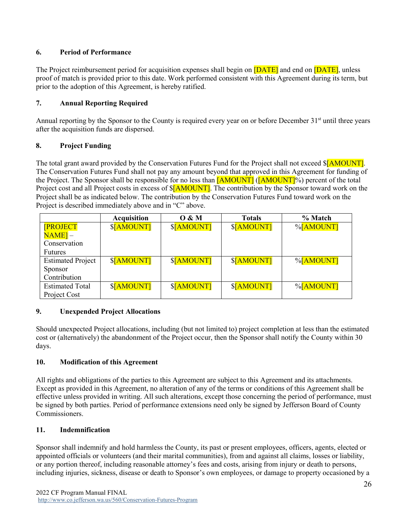# **6. Period of Performance**

The Project reimbursement period for acquisition expenses shall begin on **[DATE]** and end on **[DATE]**, unless proof of match is provided prior to this date. Work performed consistent with this Agreement during its term, but prior to the adoption of this Agreement, is hereby ratified.

# **7. Annual Reporting Required**

Annual reporting by the Sponsor to the County is required every year on or before December 31<sup>st</sup> until three years after the acquisition funds are dispersed.

### **8. Project Funding**

The total grant award provided by the Conservation Futures Fund for the Project shall not exceed \$[AMOUNT]. The Conservation Futures Fund shall not pay any amount beyond that approved in this Agreement for funding of the Project. The Sponsor shall be responsible for no less than  $\sqrt{[AMOUNT]}$  ( $\sqrt{[AMOUNT]}$ %) percent of the total Project cost and all Project costs in excess of **\$[AMOUNT]**. The contribution by the Sponsor toward work on the Project shall be as indicated below. The contribution by the Conservation Futures Fund toward work on the Project is described immediately above and in "C" above.

|                          | <b>Acquisition</b> | O & M      | <b>Totals</b> | % Match   |
|--------------------------|--------------------|------------|---------------|-----------|
| <b>[PROJECT</b>          | \$[AMOUNT]         | \$[AMOUNT] | \$[AMOUNT]    | %[AMOUNT] |
| $NAME$ ] $-$             |                    |            |               |           |
| Conservation             |                    |            |               |           |
| <b>Futures</b>           |                    |            |               |           |
| <b>Estimated Project</b> | \$[AMOUNT]         | \$[AMOUNT] | \$[AMOUNT]    | %[AMOUNT] |
| Sponsor                  |                    |            |               |           |
| Contribution             |                    |            |               |           |
| <b>Estimated Total</b>   | \$[AMOUNT]         | \$[AMOUNT] | \$[AMOUNT]    | %[AMOUNT] |
| Project Cost             |                    |            |               |           |

### **9. Unexpended Project Allocations**

Should unexpected Project allocations, including (but not limited to) project completion at less than the estimated cost or (alternatively) the abandonment of the Project occur, then the Sponsor shall notify the County within 30 days.

# **10. Modification of this Agreement**

All rights and obligations of the parties to this Agreement are subject to this Agreement and its attachments. Except as provided in this Agreement, no alteration of any of the terms or conditions of this Agreement shall be effective unless provided in writing. All such alterations, except those concerning the period of performance, must be signed by both parties. Period of performance extensions need only be signed by Jefferson Board of County Commissioners.

### **11. Indemnification**

Sponsor shall indemnify and hold harmless the County, its past or present employees, officers, agents, elected or appointed officials or volunteers (and their marital communities), from and against all claims, losses or liability, or any portion thereof, including reasonable attorney's fees and costs, arising from injury or death to persons, including injuries, sickness, disease or death to Sponsor's own employees, or damage to property occasioned by a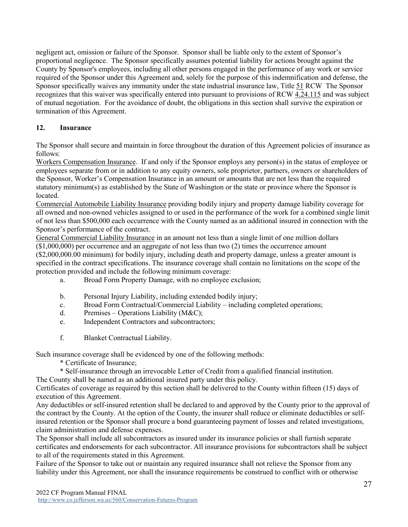negligent act, omission or failure of the Sponsor. Sponsor shall be liable only to the extent of Sponsor's proportional negligence. The Sponsor specifically assumes potential liability for actions brought against the County by Sponsor's employees, including all other persons engaged in the performance of any work or service required of the Sponsor under this Agreement and, solely for the purpose of this indemnification and defense, the Sponsor specifically waives any immunity under the state industrial insurance law, Title [51](https://apps.leg.wa.gov/rcw/default.aspx?Cite=51) RCW The Sponsor recognizes that this waiver was specifically entered into pursuant to provisions of RCW [4.24.115](https://app.leg.wa.gov/rcw/default.aspx?cite=4.24.115) and was subject of mutual negotiation. For the avoidance of doubt, the obligations in this section shall survive the expiration or termination of this Agreement.

### **12. Insurance**

The Sponsor shall secure and maintain in force throughout the duration of this Agreement policies of insurance as follows:

Workers Compensation Insurance. If and only if the Sponsor employs any person(s) in the status of employee or employees separate from or in addition to any equity owners, sole proprietor, partners, owners or shareholders of the Sponsor, Worker's Compensation Insurance in an amount or amounts that are not less than the required statutory minimum(s) as established by the State of Washington or the state or province where the Sponsor is located.

Commercial Automobile Liability Insurance providing bodily injury and property damage liability coverage for all owned and non-owned vehicles assigned to or used in the performance of the work for a combined single limit of not less than \$500,000 each occurrence with the County named as an additional insured in connection with the Sponsor's performance of the contract.

General Commercial Liability Insurance in an amount not less than a single limit of one million dollars (\$1,000,000) per occurrence and an aggregate of not less than two (2) times the occurrence amount (\$2,000,000.00 minimum) for bodily injury, including death and property damage, unless a greater amount is specified in the contract specifications. The insurance coverage shall contain no limitations on the scope of the protection provided and include the following minimum coverage:

- a. Broad Form Property Damage, with no employee exclusion;
- b. Personal Injury Liability, including extended bodily injury;
- c. Broad Form Contractual/Commercial Liability including completed operations;
- d. Premises Operations Liability (M&C);
- e. Independent Contractors and subcontractors;
- f. Blanket Contractual Liability.

Such insurance coverage shall be evidenced by one of the following methods:

- \* Certificate of Insurance;
- \* Self-insurance through an irrevocable Letter of Credit from a qualified financial institution.

The County shall be named as an additional insured party under this policy.

Certificates of coverage as required by this section shall be delivered to the County within fifteen (15) days of execution of this Agreement.

Any deductibles or self-insured retention shall be declared to and approved by the County prior to the approval of the contract by the County. At the option of the County, the insurer shall reduce or eliminate deductibles or selfinsured retention or the Sponsor shall procure a bond guaranteeing payment of losses and related investigations, claim administration and defense expenses.

The Sponsor shall include all subcontractors as insured under its insurance policies or shall furnish separate certificates and endorsements for each subcontractor. All insurance provisions for subcontractors shall be subject to all of the requirements stated in this Agreement.

Failure of the Sponsor to take out or maintain any required insurance shall not relieve the Sponsor from any liability under this Agreement, nor shall the insurance requirements be construed to conflict with or otherwise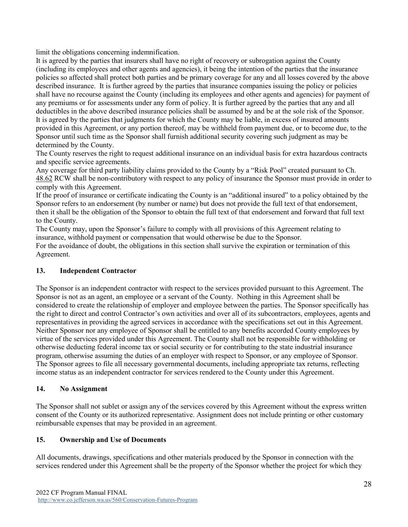limit the obligations concerning indemnification.

It is agreed by the parties that insurers shall have no right of recovery or subrogation against the County (including its employees and other agents and agencies), it being the intention of the parties that the insurance policies so affected shall protect both parties and be primary coverage for any and all losses covered by the above described insurance. It is further agreed by the parties that insurance companies issuing the policy or policies shall have no recourse against the County (including its employees and other agents and agencies) for payment of any premiums or for assessments under any form of policy. It is further agreed by the parties that any and all deductibles in the above described insurance policies shall be assumed by and be at the sole risk of the Sponsor. It is agreed by the parties that judgments for which the County may be liable, in excess of insured amounts provided in this Agreement, or any portion thereof, may be withheld from payment due, or to become due, to the Sponsor until such time as the Sponsor shall furnish additional security covering such judgment as may be determined by the County.

The County reserves the right to request additional insurance on an individual basis for extra hazardous contracts and specific service agreements.

Any coverage for third party liability claims provided to the County by a "Risk Pool" created pursuant to Ch. [48.62](https://apps.leg.wa.gov/rcw/default.aspx?cite=48.62) RCW shall be non-contributory with respect to any policy of insurance the Sponsor must provide in order to comply with this Agreement.

If the proof of insurance or certificate indicating the County is an "additional insured" to a policy obtained by the Sponsor refers to an endorsement (by number or name) but does not provide the full text of that endorsement, then it shall be the obligation of the Sponsor to obtain the full text of that endorsement and forward that full text to the County.

The County may, upon the Sponsor's failure to comply with all provisions of this Agreement relating to insurance, withhold payment or compensation that would otherwise be due to the Sponsor.

For the avoidance of doubt, the obligations in this section shall survive the expiration or termination of this Agreement.

### **13. Independent Contractor**

The Sponsor is an independent contractor with respect to the services provided pursuant to this Agreement. The Sponsor is not as an agent, an employee or a servant of the County. Nothing in this Agreement shall be considered to create the relationship of employer and employee between the parties. The Sponsor specifically has the right to direct and control Contractor's own activities and over all of its subcontractors, employees, agents and representatives in providing the agreed services in accordance with the specifications set out in this Agreement. Neither Sponsor nor any employee of Sponsor shall be entitled to any benefits accorded County employees by virtue of the services provided under this Agreement. The County shall not be responsible for withholding or otherwise deducting federal income tax or social security or for contributing to the state industrial insurance program, otherwise assuming the duties of an employer with respect to Sponsor, or any employee of Sponsor. The Sponsor agrees to file all necessary governmental documents, including appropriate tax returns, reflecting income status as an independent contractor for services rendered to the County under this Agreement.

### **14. No Assignment**

The Sponsor shall not sublet or assign any of the services covered by this Agreement without the express written consent of the County or its authorized representative. Assignment does not include printing or other customary reimbursable expenses that may be provided in an agreement.

### **15. Ownership and Use of Documents**

All documents, drawings, specifications and other materials produced by the Sponsor in connection with the services rendered under this Agreement shall be the property of the Sponsor whether the project for which they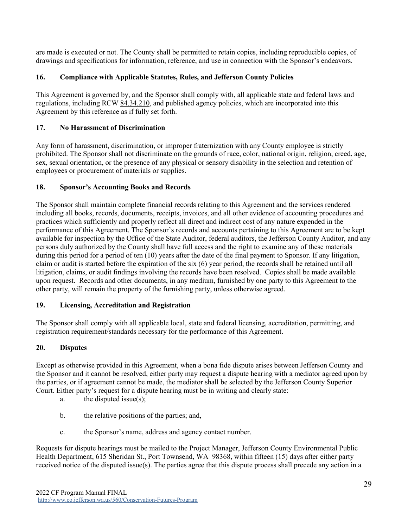are made is executed or not. The County shall be permitted to retain copies, including reproducible copies, of drawings and specifications for information, reference, and use in connection with the Sponsor's endeavors.

# **16. Compliance with Applicable Statutes, Rules, and Jefferson County Policies**

This Agreement is governed by, and the Sponsor shall comply with, all applicable state and federal laws and regulations, including RCW [84.34.210,](https://app.leg.wa.gov/rcw/default.aspx?cite=84.34.210) and published agency policies, which are incorporated into this Agreement by this reference as if fully set forth.

# **17. No Harassment of Discrimination**

Any form of harassment, discrimination, or improper fraternization with any County employee is strictly prohibited. The Sponsor shall not discriminate on the grounds of race, color, national origin, religion, creed, age, sex, sexual orientation, or the presence of any physical or sensory disability in the selection and retention of employees or procurement of materials or supplies.

### **18. Sponsor's Accounting Books and Records**

The Sponsor shall maintain complete financial records relating to this Agreement and the services rendered including all books, records, documents, receipts, invoices, and all other evidence of accounting procedures and practices which sufficiently and properly reflect all direct and indirect cost of any nature expended in the performance of this Agreement. The Sponsor's records and accounts pertaining to this Agreement are to be kept available for inspection by the Office of the State Auditor, federal auditors, the Jefferson County Auditor, and any persons duly authorized by the County shall have full access and the right to examine any of these materials during this period for a period of ten (10) years after the date of the final payment to Sponsor. If any litigation, claim or audit is started before the expiration of the six (6) year period, the records shall be retained until all litigation, claims, or audit findings involving the records have been resolved. Copies shall be made available upon request. Records and other documents, in any medium, furnished by one party to this Agreement to the other party, will remain the property of the furnishing party, unless otherwise agreed.

### **19. Licensing, Accreditation and Registration**

The Sponsor shall comply with all applicable local, state and federal licensing, accreditation, permitting, and registration requirement/standards necessary for the performance of this Agreement.

### **20. Disputes**

Except as otherwise provided in this Agreement, when a bona fide dispute arises between Jefferson County and the Sponsor and it cannot be resolved, either party may request a dispute hearing with a mediator agreed upon by the parties, or if agreement cannot be made, the mediator shall be selected by the Jefferson County Superior Court. Either party's request for a dispute hearing must be in writing and clearly state:

- a. the disputed issue(s);
- b. the relative positions of the parties; and,
- c. the Sponsor's name, address and agency contact number.

Requests for dispute hearings must be mailed to the Project Manager, Jefferson County Environmental Public Health Department, 615 Sheridan St., Port Townsend, WA 98368, within fifteen (15) days after either party received notice of the disputed issue(s). The parties agree that this dispute process shall precede any action in a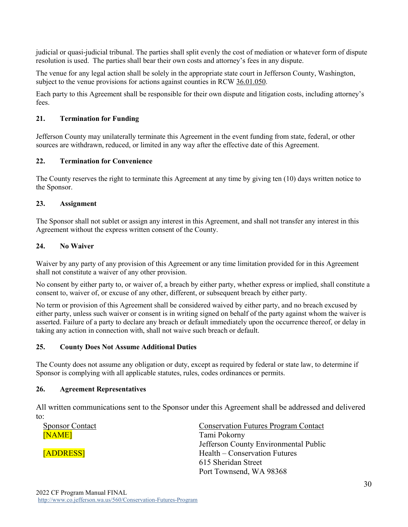judicial or quasi-judicial tribunal. The parties shall split evenly the cost of mediation or whatever form of dispute resolution is used. The parties shall bear their own costs and attorney's fees in any dispute.

The venue for any legal action shall be solely in the appropriate state court in Jefferson County, Washington, subject to the venue provisions for actions against counties in RCW [36.01.050.](https://app.leg.wa.gov/rcw/default.aspx?cite=36.01.050)

Each party to this Agreement shall be responsible for their own dispute and litigation costs, including attorney's fees.

### **21. Termination for Funding**

Jefferson County may unilaterally terminate this Agreement in the event funding from state, federal, or other sources are withdrawn, reduced, or limited in any way after the effective date of this Agreement.

### **22. Termination for Convenience**

The County reserves the right to terminate this Agreement at any time by giving ten (10) days written notice to the Sponsor.

#### **23. Assignment**

The Sponsor shall not sublet or assign any interest in this Agreement, and shall not transfer any interest in this Agreement without the express written consent of the County.

#### **24. No Waiver**

Waiver by any party of any provision of this Agreement or any time limitation provided for in this Agreement shall not constitute a waiver of any other provision.

No consent by either party to, or waiver of, a breach by either party, whether express or implied, shall constitute a consent to, waiver of, or excuse of any other, different, or subsequent breach by either party.

No term or provision of this Agreement shall be considered waived by either party, and no breach excused by either party, unless such waiver or consent is in writing signed on behalf of the party against whom the waiver is asserted. Failure of a party to declare any breach or default immediately upon the occurrence thereof, or delay in taking any action in connection with, shall not waive such breach or default.

#### **25. County Does Not Assume Additional Duties**

The County does not assume any obligation or duty, except as required by federal or state law, to determine if Sponsor is complying with all applicable statutes, rules, codes ordinances or permits.

#### **26. Agreement Representatives**

All written communications sent to the Sponsor under this Agreement shall be addressed and delivered to:

| <b>Sponsor Contact</b> | <b>Conservation Futures Program Contact</b> |
|------------------------|---------------------------------------------|
| [NAME]                 | Tami Pokorny                                |
|                        | Jefferson County Environmental Public       |
| [ADDRESS]              | Health – Conservation Futures               |
|                        | 615 Sheridan Street                         |
|                        | Port Townsend, WA 98368                     |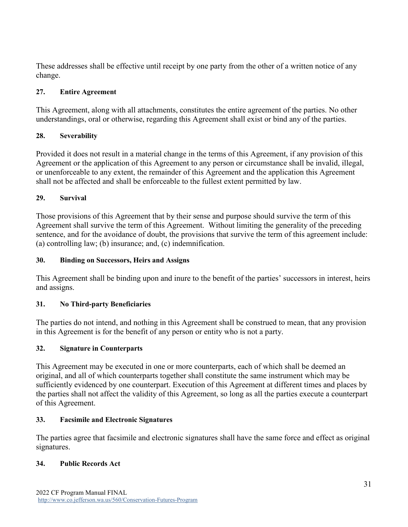These addresses shall be effective until receipt by one party from the other of a written notice of any change.

# **27. Entire Agreement**

This Agreement, along with all attachments, constitutes the entire agreement of the parties. No other understandings, oral or otherwise, regarding this Agreement shall exist or bind any of the parties.

# **28. Severability**

Provided it does not result in a material change in the terms of this Agreement, if any provision of this Agreement or the application of this Agreement to any person or circumstance shall be invalid, illegal, or unenforceable to any extent, the remainder of this Agreement and the application this Agreement shall not be affected and shall be enforceable to the fullest extent permitted by law.

# **29. Survival**

Those provisions of this Agreement that by their sense and purpose should survive the term of this Agreement shall survive the term of this Agreement. Without limiting the generality of the preceding sentence, and for the avoidance of doubt, the provisions that survive the term of this agreement include: (a) controlling law; (b) insurance; and, (c) indemnification.

# **30. Binding on Successors, Heirs and Assigns**

This Agreement shall be binding upon and inure to the benefit of the parties' successors in interest, heirs and assigns.

# **31. No Third-party Beneficiaries**

The parties do not intend, and nothing in this Agreement shall be construed to mean, that any provision in this Agreement is for the benefit of any person or entity who is not a party.

# **32. Signature in Counterparts**

This Agreement may be executed in one or more counterparts, each of which shall be deemed an original, and all of which counterparts together shall constitute the same instrument which may be sufficiently evidenced by one counterpart. Execution of this Agreement at different times and places by the parties shall not affect the validity of this Agreement, so long as all the parties execute a counterpart of this Agreement.

# **33. Facsimile and Electronic Signatures**

The parties agree that facsimile and electronic signatures shall have the same force and effect as original signatures.

# **34. Public Records Act**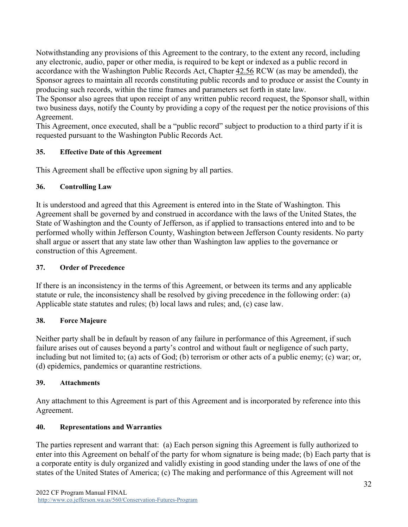Notwithstanding any provisions of this Agreement to the contrary, to the extent any record, including any electronic, audio, paper or other media, is required to be kept or indexed as a public record in accordance with the Washington Public Records Act, Chapter [42.56](https://apps.leg.wa.gov/rcw/default.aspx?cite=42.56) RCW (as may be amended), the Sponsor agrees to maintain all records constituting public records and to produce or assist the County in producing such records, within the time frames and parameters set forth in state law.

The Sponsor also agrees that upon receipt of any written public record request, the Sponsor shall, within two business days, notify the County by providing a copy of the request per the notice provisions of this Agreement.

This Agreement, once executed, shall be a "public record" subject to production to a third party if it is requested pursuant to the Washington Public Records Act.

# **35. Effective Date of this Agreement**

This Agreement shall be effective upon signing by all parties.

# **36. Controlling Law**

It is understood and agreed that this Agreement is entered into in the State of Washington. This Agreement shall be governed by and construed in accordance with the laws of the United States, the State of Washington and the County of Jefferson, as if applied to transactions entered into and to be performed wholly within Jefferson County, Washington between Jefferson County residents. No party shall argue or assert that any state law other than Washington law applies to the governance or construction of this Agreement.

# **37. Order of Precedence**

If there is an inconsistency in the terms of this Agreement, or between its terms and any applicable statute or rule, the inconsistency shall be resolved by giving precedence in the following order: (a) Applicable state statutes and rules; (b) local laws and rules; and, (c) case law.

# **38. Force Majeure**

Neither party shall be in default by reason of any failure in performance of this Agreement, if such failure arises out of causes beyond a party's control and without fault or negligence of such party, including but not limited to; (a) acts of God; (b) terrorism or other acts of a public enemy; (c) war; or, (d) epidemics, pandemics or quarantine restrictions.

# **39. Attachments**

Any attachment to this Agreement is part of this Agreement and is incorporated by reference into this Agreement.

# **40. Representations and Warranties**

The parties represent and warrant that: (a) Each person signing this Agreement is fully authorized to enter into this Agreement on behalf of the party for whom signature is being made; (b) Each party that is a corporate entity is duly organized and validly existing in good standing under the laws of one of the states of the United States of America; (c) The making and performance of this Agreement will not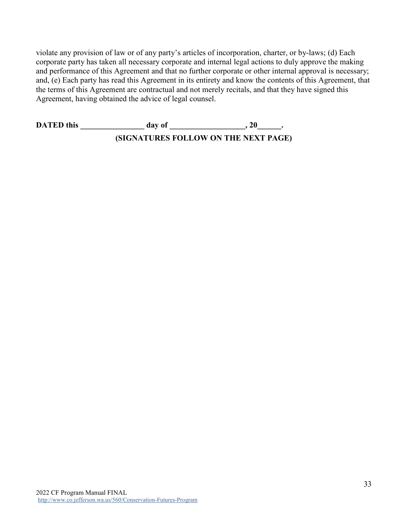violate any provision of law or of any party's articles of incorporation, charter, or by-laws; (d) Each corporate party has taken all necessary corporate and internal legal actions to duly approve the making and performance of this Agreement and that no further corporate or other internal approval is necessary; and, (e) Each party has read this Agreement in its entirety and know the contents of this Agreement, that the terms of this Agreement are contractual and not merely recitals, and that they have signed this Agreement, having obtained the advice of legal counsel.

**DATED** this **a day** of **. . 20** . **(SIGNATURES FOLLOW ON THE NEXT PAGE)**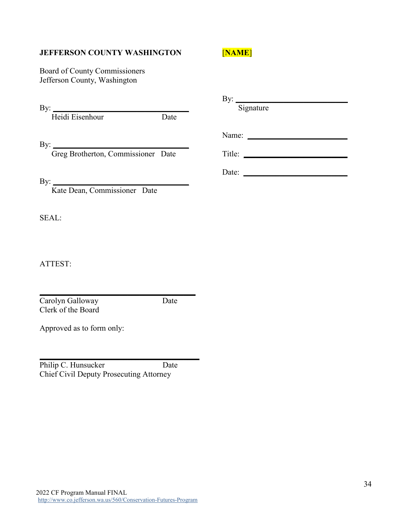### **JEFFERSON COUNTY WASHINGTON**

[**NAME**]

Board of County Commissioners Jefferson County, Washington

By:  $\frac{y}{y}$ 

Heidi Eisenhour Date

By: \_\_\_\_\_\_\_\_\_\_\_\_\_\_\_\_\_\_\_\_\_\_\_\_\_\_\_\_\_\_\_\_\_\_

Greg Brotherton, Commissioner Date

By: \_\_\_\_\_\_\_\_\_\_\_\_\_\_\_\_\_\_\_\_\_\_\_\_\_\_\_\_\_\_\_\_\_\_

Kate Dean, Commissioner Date

SEAL:

ATTEST:

 $\mathcal{L}_\text{max}$  , and the set of the set of the set of the set of the set of the set of the set of the set of the set of the set of the set of the set of the set of the set of the set of the set of the set of the set of the Carolyn Galloway Date Clerk of the Board

Approved as to form only:

 $\mathcal{L}=\{1,2,3,4,5\}$ Philip C. Hunsucker Date Chief Civil Deputy Prosecuting Attorney

By: $\Box$  Signature Name: \_\_\_\_\_\_\_\_\_\_\_\_\_\_\_\_\_\_\_\_\_\_\_\_\_ Title: \_\_\_\_\_\_\_\_\_\_\_\_\_\_\_\_\_\_\_\_\_\_\_\_\_\_

Date: \_\_\_\_\_\_\_\_\_\_\_\_\_\_\_\_\_\_\_\_\_\_\_\_\_\_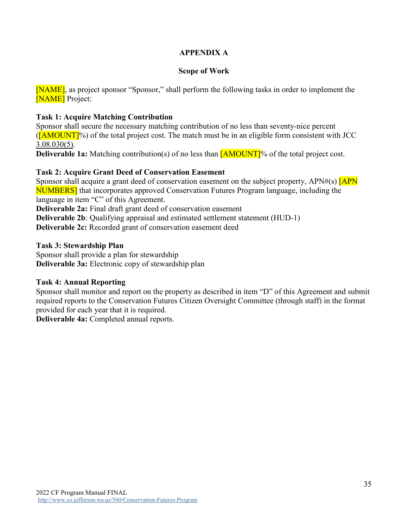# **APPENDIX A**

# **Scope of Work**

[NAME], as project sponsor "Sponsor," shall perform the following tasks in order to implement the **[NAME]** Project:

# **Task 1: Acquire Matching Contribution**

Sponsor shall secure the necessary matching contribution of no less than seventy-nice percent  $(\overline{[AMOUNT]}\%)$  of the total project cost. The match must be in an eligible form consistent with JCC [3.08.030\(5\).](https://www.codepublishing.com/WA/JeffersonCounty/#!/JeffersonCounty03/JeffersonCounty0308.html)

**Deliverable 1a:** Matching contribution(s) of no less than  $\overline{[AMOUNT]}$ % of the total project cost.

# **Task 2: Acquire Grant Deed of Conservation Easement**

Sponsor shall acquire a grant deed of conservation easement on the subject property, APN#(s)  $\sqrt{APN}$ NUMBERS] that incorporates approved Conservation Futures Program language, including the language in item "C" of this Agreement.

**Deliverable 2a:** Final draft grant deed of conservation easement

**Deliverable 2b:** Qualifying appraisal and estimated settlement statement (HUD-1)

**Deliverable 2c:** Recorded grant of conservation easement deed

# **Task 3: Stewardship Plan**

Sponsor shall provide a plan for stewardship **Deliverable 3a:** Electronic copy of stewardship plan

# **Task 4: Annual Reporting**

Sponsor shall monitor and report on the property as described in item "D" of this Agreement and submit required reports to the Conservation Futures Citizen Oversight Committee (through staff) in the format provided for each year that it is required.

**Deliverable 4a:** Completed annual reports.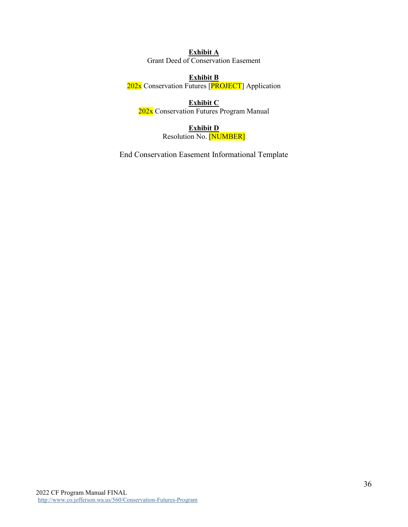**Exhibit A** Grant Deed of Conservation Easement

#### **Exhibit B**

202x Conservation Futures [PROJECT] Application

**Exhibit C** 202x Conservation Futures Program Manual

# **Exhibit D**

Resolution No. [NUMBER]

End Conservation Easement Informational Template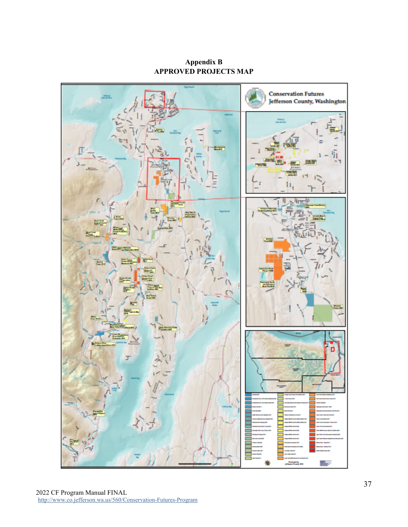**Appendix B APPROVED PROJECTS MAP**